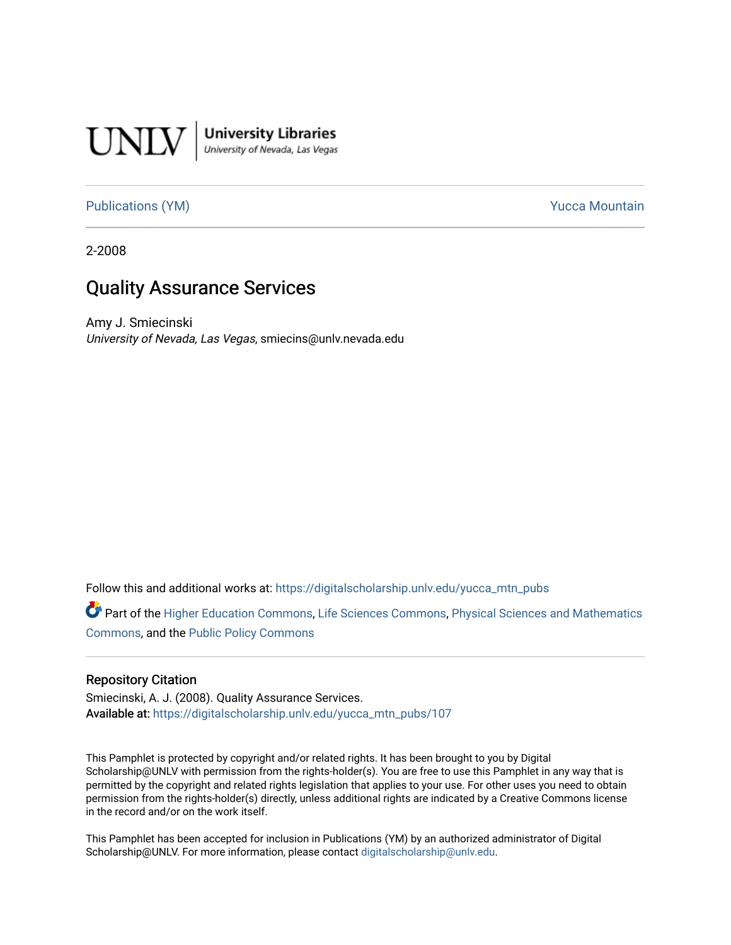

## [Publications \(YM\)](https://digitalscholarship.unlv.edu/yucca_mtn_pubs) **Publications** (YM) **Publications** (YM)

2-2008

## Quality Assurance Services

Amy J. Smiecinski University of Nevada, Las Vegas, smiecins@unlv.nevada.edu

Follow this and additional works at: [https://digitalscholarship.unlv.edu/yucca\\_mtn\\_pubs](https://digitalscholarship.unlv.edu/yucca_mtn_pubs?utm_source=digitalscholarship.unlv.edu%2Fyucca_mtn_pubs%2F107&utm_medium=PDF&utm_campaign=PDFCoverPages)

Part of the [Higher Education Commons,](http://network.bepress.com/hgg/discipline/1245?utm_source=digitalscholarship.unlv.edu%2Fyucca_mtn_pubs%2F107&utm_medium=PDF&utm_campaign=PDFCoverPages) [Life Sciences Commons](http://network.bepress.com/hgg/discipline/1016?utm_source=digitalscholarship.unlv.edu%2Fyucca_mtn_pubs%2F107&utm_medium=PDF&utm_campaign=PDFCoverPages), [Physical Sciences and Mathematics](http://network.bepress.com/hgg/discipline/114?utm_source=digitalscholarship.unlv.edu%2Fyucca_mtn_pubs%2F107&utm_medium=PDF&utm_campaign=PDFCoverPages) [Commons](http://network.bepress.com/hgg/discipline/114?utm_source=digitalscholarship.unlv.edu%2Fyucca_mtn_pubs%2F107&utm_medium=PDF&utm_campaign=PDFCoverPages), and the [Public Policy Commons](http://network.bepress.com/hgg/discipline/400?utm_source=digitalscholarship.unlv.edu%2Fyucca_mtn_pubs%2F107&utm_medium=PDF&utm_campaign=PDFCoverPages) 

### Repository Citation

Smiecinski, A. J. (2008). Quality Assurance Services. Available at: [https://digitalscholarship.unlv.edu/yucca\\_mtn\\_pubs/107](https://digitalscholarship.unlv.edu/yucca_mtn_pubs/107) 

This Pamphlet is protected by copyright and/or related rights. It has been brought to you by Digital Scholarship@UNLV with permission from the rights-holder(s). You are free to use this Pamphlet in any way that is permitted by the copyright and related rights legislation that applies to your use. For other uses you need to obtain permission from the rights-holder(s) directly, unless additional rights are indicated by a Creative Commons license in the record and/or on the work itself.

This Pamphlet has been accepted for inclusion in Publications (YM) by an authorized administrator of Digital Scholarship@UNLV. For more information, please contact [digitalscholarship@unlv.edu.](mailto:digitalscholarship@unlv.edu)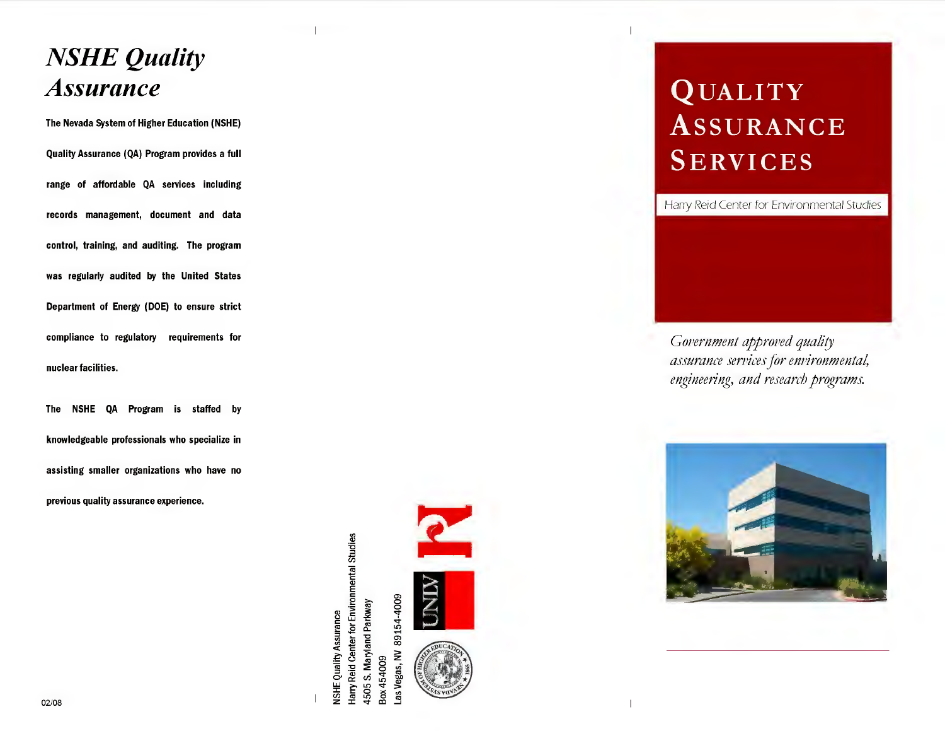## **NSHE Quality Assurance**

The Nevada System of Higher Education (NSHE) Quality Assurance (QA) Program provides a full range of affordable QA services including records management, document and data control, training, and auditing. The program was regularly audited by the United States Department of Energy (DOE) to ensure strict compliance to regulatory requirements for nuclear facilities.

NSHE QA Program is staffed by The knowledgeable professionals who specialize in assisting smaller organizations who have no previous quality assurance experience.

> Harry Reid Center for Environmental Studies<br>4505 S. Maryland Parkway 89154-4009 NSHE Quality Assurance Las Vegas, NV Box 454009



# **QUALITY ASSURANCE SERVICES**

Harry Reid Center for Environmental Studies

Government approved quality assurance services for environmental, engineering, and research programs.